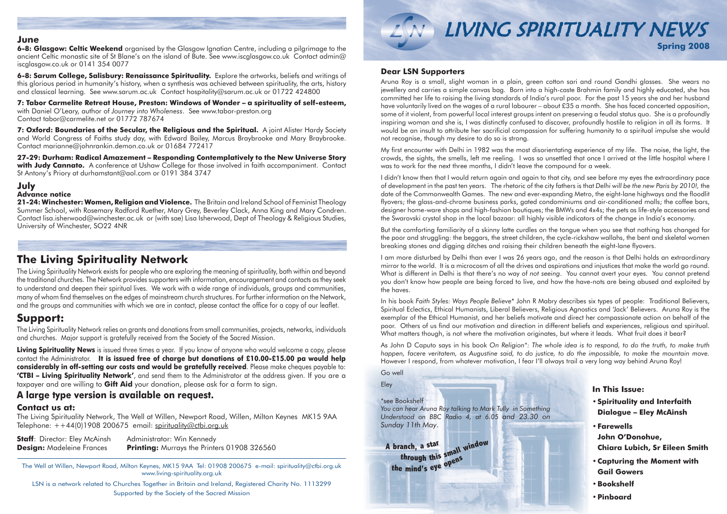# LIVING SPIRITUALITY NEWS **Spring 2008**

The Well at Willen, Newport Road, Milton Keynes, MK15 9AA Tel: 01908 200675 e-mail: spirituality@ctbi.org.uk www.living-spirituality.org.uk

LSN is a network related to Churches Together in Britain and Ireland, Registered Charity No. 1113299 Supported by the Society of the Sacred Mission

# **The Living Spirituality Network**

The Living Spirituality Network exists for people who are exploring the meaning of spirituality, both within and beyond the traditional churches. The Network provides supporters with information, encouragement and contacts as they seek to understand and deepen their spiritual lives. We work with a wide range of individuals, groups and communities, many of whom find themselves on the edges of mainstream church structures. For further information on the Network, and the groups and communities with which we are in contact, please contact the office for a copy of our leaflet.

The Living Spirituality Network, The Well at Willen, Newport Road, Willen, Milton Keynes MK15 9AA Telephone:  $++44(0)1908200675$  email: spirituality@ctbi.org.uk

**Staff:** Director: Eley McAinsh Administrator: Win Kennedy **Design:** Madeleine Frances **Printing:** Murrays the Printers 01908 326560

# **Support:**

The Living Spirituality Network relies on grants and donations from small communities, projects, networks, individuals and churches. Major support is gratefully received from the Society of the Sacred Mission.

**Living Spirituality News** is issued three times a year. If you know of anyone who would welcome a copy, please contact the Administrator. **It is issued free of charge but donations of £10.00-£15.00 pa would help considerably in off-setting our costs and would be gratefully received**. Please make cheques payable to: **'CTBI – Living Spirituality Network'**, and send them to the Administrator at the address given. If you are a taxpayer and are willing to **Gift Aid** your donation, please ask for a form to sign.

# **A large type version is available on request.**

# **Contact us at:**

# **Dear LSN Supporters**

In his book *Faith Styles: Ways People Believe*\* John R Mabry describes six types of people: Traditional Believers, Spiritual Eclectics, Ethical Humanists, Liberal Believers, Religious Agnostics and 'Jack' Believers. Aruna Roy is the exemplar of the Ethical Humanist, and her beliefs motivate and direct her compassionate action on behalf of the poor. Others of us find our motivation and direction in different beliefs and experiences, religious and spiritual. What matters though, is not where the motivation originates, but where it leads. What fruit does it bear?

Aruna Roy is a small, slight woman in a plain, green cotton sari and round Gandhi glasses. She wears no jewellery and carries a simple canvas bag. Born into a high-caste Brahmin family and highly educated, she has committed her life to raising the living standards of India's rural poor. For the past 15 years she and her husband have voluntarily lived on the wages of a rural labourer – about £35 a month. She has faced concerted opposition, some of it violent, from powerful local interest groups intent on preserving a feudal status quo. She is a profoundly inspiring woman and she is, I was distinctly confused to discover, profoundly hostile to religion in all its forms. It would be an insult to attribute her sacrificial compassion for suffering humanity to a spiritual impulse she would not recognise, though my desire to do so is strong.

My first encounter with Delhi in 1982 was the most disorientating experience of my life. The noise, the light, the crowds, the sights, the smells, left me reeling. I was so unsettled that once I arrived at the little hospital where I was to work for the next three months, I didn't leave the compound for a week.

I didn't know then that I would return again and again to that city, and see before my eyes the extraordinary pace of development in the past ten years. The rhetoric of the city fathers is that *Delhi will be the new Paris by 2010!,* the date of the Commonwealth Games. The new and ever-expanding Metro, the eight-lane highways and the floodlit flyovers; the glass-and-chrome business parks, gated condominiums and air-conditioned malls; the coffee bars, designer home-ware shops and high-fashion boutiques; the BMWs and 4x4s; the pets as life-style accessories and the Swarovski crystal shop in the local bazaar: all highly visible indicators of the change in India's economy.

But the comforting familiarity of a skinny latte curdles on the tongue when you see that nothing has changed for the poor and struggling: the beggars, the street children, the cycle-rickshaw wallahs, the bent and skeletal women breaking stones and digging ditches and raising their children beneath the eight-lane flyovers.

I am more disturbed by Delhi than ever I was 26 years ago, and the reason is that Delhi holds an extraordinary mirror to the world. It is a microcosm of all the drives and aspirations and injustices that make the world go round. What is different in Delhi is that there's no way of *not seeing*. You cannot avert your eyes. You cannot pretend you don't know how people are being forced to live, and how the have-nots are being abused and exploited by the haves.

As John D Caputo says in his book *On Religion\*: The whole idea is to respond, to do the truth, to make truth happen, facere veritatem, as Augustine said, to do justice, to do the impossible, to make the mountain move.* However I respond, from whatever motivation, I fear I'll always trail a very long way behind Aruna Roy!

Go well

Eley

\*see Bookshelf

*You can hear Aruna Roy talking to Mark Tully in Something Understood on BBC Radio 4, at 6.05 and 23.30 on Sunday 11th May*.

## **June**

**6-8: Glasgow: Celtic Weekend** organised by the Glasgow Ignatian Centre, including a pilgrimage to the ancient Celtic monastic site of St Blane's on the island of Bute. See www.iscglasgow.co.uk Contact admin@ iscglasgow.co.uk or 0141 354 0077

**6-8: Sarum College, Salisbury: Renaissance Spirituality.** Explore the artworks, beliefs and writings of this glorious period in humanity's history, when a synthesis was achieved between spirituality, the arts, history and classical learning. See www.sarum.ac.uk Contact hospitality@sarum.ac.uk or 01722 424800

**7: Tabor Carmelite Retreat House, Preston: Windows of Wonder – a spirituality of self-esteem,**  with Daniel O'Leary, author of *Journey into Wholeness*. See www.tabor-preston.org Contact tabor@carmelite.net or 01772 787674

**7: Oxford: Boundaries of the Secular, the Religious and the Spiritual.** A joint Alister Hardy Society and World Congress of Faiths study day, with Edward Bailey, Marcus Braybrooke and Mary Braybrooke. Contact marianne@johnrankin.demon.co.uk or 01684 772417

**27-29: Durham: Radical Amazement – Responding Contemplatively to the New Universe Story with Judy Cannato.** A conference at Ushaw College for those involved in faith accompaniment. Contact St Antony's Priory at durhamstant@aol.com or 0191 384 3747

## **July**

#### **Advance notice**

**21-24: Winchester: Women, Religion and Violence.** The Britain and Ireland School of Feminist Theology Summer School, with Rosemary Radford Ruether, Mary Grey, Beverley Clack, Anna King and Mary Condren. Contact lisa.isherwood@winchester.ac.uk or (with sae) Lisa Isherwood, Dept of Theology & Religious Studies, University of Winchester, SO22 4NR

### **In This Issue:**

- **•Spirituality and Interfaith Dialogue – Eley McAinsh**
- **•Farewells John O'Donohue, Chiara Lubich, Sr Eileen Smith**
- **•Capturing the Moment with Gail Gowers**
- **•Bookshelf**
- **•Pinboard**

**<sup>A</sup> <sup>b</sup><sup>r</sup>anch, <sup>a</sup> <sup>s</sup>ta<sup>r</sup> <sup>t</sup>h<sup>r</sup>o<sup>u</sup>g<sup>h</sup> <sup>t</sup>hi<sup>s</sup> <sup>s</sup>mal<sup>l</sup> <sup>w</sup>indo<sup>w</sup> <sup>t</sup>h<sup>e</sup> <sup>m</sup>ind'<sup>s</sup> <sup>e</sup>y<sup>e</sup> <sup>o</sup>pen<sup>s</sup>**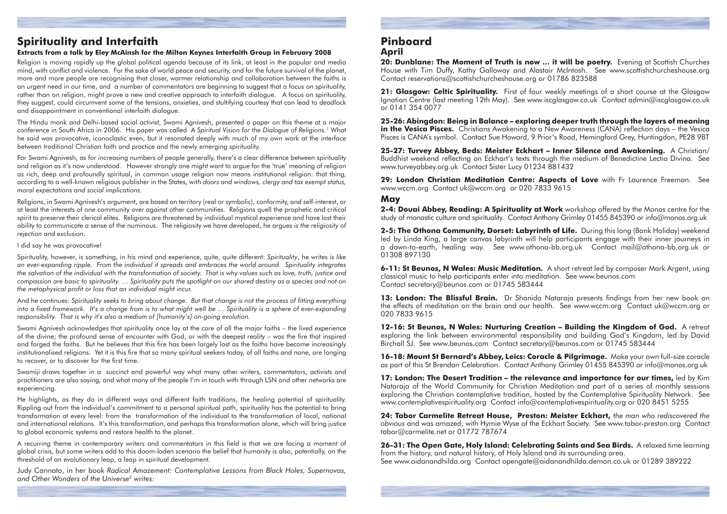# **Spirituality and Interfaith**

### **Extracts from a talk by Eley McAinsh for the Milton Keynes Interfaith Group in February 2008**

Religion is moving rapidly up the global political agenda because of its link, at least in the popular and media mind, with conflict and violence. For the sake of world peace and security, and for the future survival of the planet, more and more people are recognising that closer, warmer relationship and collaboration between the faiths is an urgent need in our time, and a number of commentators are beginning to suggest that a focus on spirituality, rather than on religion, might prove a new and creative approach to interfaith dialogue. A focus on spirituality, they suggest, could circumvent some of the tensions, anxieties, and stultifying courtesy that can lead to deadlock and disappointment in conventional interfaith dialogue.

The Hindu monk and Delhi-based social activist, Swami Agnivesh, presented a paper on this theme at a major conference in South Africa in 2006. His paper was called *A Spiritual Vision for the Dialogue of Religions.1* What he said was provocative, iconoclastic even, but it resonated deeply with much of my own work at the interface between traditional Christian faith and practice and the newly emerging spirituality.

For Swami Agnivesh, as for increasing numbers of people generally, there's a clear difference between spirituality and religion as it's now understood. However strongly one might want to argue for the 'true' meaning of religion as rich, deep and profoundly spiritual, in common usage religion now means institutional religion: that thing, according to a well-known religious publisher in the States, *with doors and windows, clergy and tax exempt status, moral expectations and social implications.*

Religions, in Swami Agnivesh's argument, are based on territory (real or symbolic), conformity, and self-interest, or at least the interests of one community over against other communities. Religions quell the prophetic and critical spirit to preserve their clerical elites. Religions are threatened by individual mystical experience and have lost their ability to communicate a sense of the numinous. The religiosity we have developed, he argues *is the religiosity of rejection and exclusion.*

#### I did say he was provocative!

20: Dunblane: The Moment of Truth is now ... it will be poetry. Evening at Scottish Churches House with Tim Duffy, Kathy Galloway and Alastair McIntosh. See www.scottishchurcheshouse.org Contact reservations@scottishchurcheshouse.org or 01786 823588

Spirituality, however, is something, in his mind and experience, quite, quite different: *Spirituality*, he writes *is like an ever-expanding ripple. From the individual it spreads and embraces the world around. Spirituality integrates the salvation of the individual with the transformation of society. That is why values such as love, truth, justice and compassion are basic to spirituality. … Spirituality puts the spotlight on our shared destiny as a species and not on the metaphysical profit or loss that an individual might incur.*

21: Glasgow: Celtic Spirituality. First of four weekly meetings of a short course at the Glasgow Ignatian Centre (last meeting 12th May). See www.iscglasgow.co.uk Contact admin@iscglasgow.co.uk or 0141 354 0077

And he continues: *Spirituality seeks to bring about change. But that change is not the process of fitting everything into a fixed framework. It's a change from is to what might well be … Spirituality is a sphere of ever-expanding responsibility. That is why it's also a medium of [humanity's] on-going evolution.* 

Swami Agnivesh acknowledges that spirituality once lay at the core of all the major faiths – the lived experience of the divine; the profound sense of encounter with God, or with the deepest reality – was the fire that inspired and forged the faiths. But he believes that this fire has been largely lost as the faiths have become increasingly institutionalised religions. Yet it is this fire that so many spiritual seekers today, of all faiths and none, are longing to recover, or to discover for the first time.

13: London: The Blissful Brain. Dr Shanida Nataraia presents findings from her new book on the effects of meditation on the brain and our health. See www.wccm.org Contact uk@wccm.org or 020 7833 9615

Swamiji draws together in a succinct and powerful way what many other writers, commentators, activists and practitioners are also saying, and what many of the people I'm in touch with through LSN and other networks are experiencing.

He highlights, as they do in different ways and different faith traditions, the healing potential of spirituality. Rippling out from the individual's commitment to a personal spiritual path, spirituality has the potential to bring transformation at every level: from the transformation of the individual to the transformation of local, national and international relations. It's this transformation, and perhaps this transformation alone, which will bring justice to global economic systems and restore health to the planet.

A recurring theme in contemporary writers and commentators in this field is that we are facing a moment of global crisis, but some writers add to this doom-laden scenario the belief that humanity is also, potentially, on the threshold of an evolutionary leap, a leap in spiritual development.

Judy Cannato, in her book *Radical Amazement: Contemplative Lessons from Black Holes, Supernovas, and Other Wonders of the Universe2 writes:* 

# **Pinboard April**

**25-26: Abingdon: Being in Balance – exploring deeper truth through the layers of meaning in the Vesica Pisces.** Christians Awakening to a New Awareness (CANA) reflection days – the Vesica Pisces is CANA's symbol. Contact Sue Howard, 9 Prior's Road, Hemingford Grey, Huntingdon, PE28 9BT

**25-27: Turvey Abbey, Beds: Meister Eckhart – Inner Silence and Awakening.** A Christian/ Buddhist weekend reflecting on Eckhart's texts through the medium of Benedictine Lectio Divina. See www.turveyabbey.org.uk Contact Sister Lucy 01234 881432

**29: London Christian Meditation Centre: Aspects of Love** with Fr Laurence Freeman. See www.wccm.org Contact uk@wccm.org or 020 7833 9615

# **May**

**2-4: Douai Abbey, Reading: A Spirituality at Work** workshop offered by the Monos centre for the study of monastic culture and spirituality. Contact Anthony Grimley 01455 845390 or info@monos.org.uk

**2-5: The Othona Community, Dorset: Labyrinth of Life.** During this long (Bank Holiday) weekend led by Linda King, a large canvas labyrinth will help participants engage with their inner journeys in a down-to-earth, healing way. See www.othona-bb.org.uk Contact mail@othona-bb.org.uk or 01308 897130

**6-11: St Beunos, N Wales: Music Meditation.** A short retreat led by composer Mark Argent, using classical music to help participants enter into meditation. See www.beunos.com Contact secretary@beunos.com or 01745 583444

**12-16: St Beunos, N Wales: Nurturing Creation – Building the Kingdom of God.** A retreat exploring the link between environmental responsibility and building God's Kingdom, led by David Birchall SJ. See www.beunos.com Contact secretary@beunos.com or 01745 583444

**16-18: Mount St Bernard's Abbey, Leics: Coracle & Pilgrimage.** Make your own full-size coracle as part of this St Brendan Celebration. Contact Anthony Grimley 01455 845390 or info@monos.org.uk

**17: London: The Desert Tradition – the relevance and importance for our times,** led by Kim Nataraja of the World Community for Christian Meditation and part of a series of monthly sessions exploring the Christian contemplative tradition, hosted by the Contemplative Spirituality Network. See www.contemplativespirituality.org Contact info@contemplativespirituality.org or 020 8451 5255

**24: Tabor Carmelite Retreat House, Preston: Meister Eckhart,** *the man who rediscovered the obvious* and was amazed, with Hymie Wyse of the Eckhart Society. See www.tabor-preston.org Contact tabor@carmelite.net or 01772 787674

**26-31: The Open Gate, Holy Island: Celebrating Saints and Sea Birds.** A relaxed time learning from the history, and natural history, of Holy Island and its surrounding area. See www.aidanandhilda.org Contact opengate@aidanandhilda.demon.co.uk or 01289 389222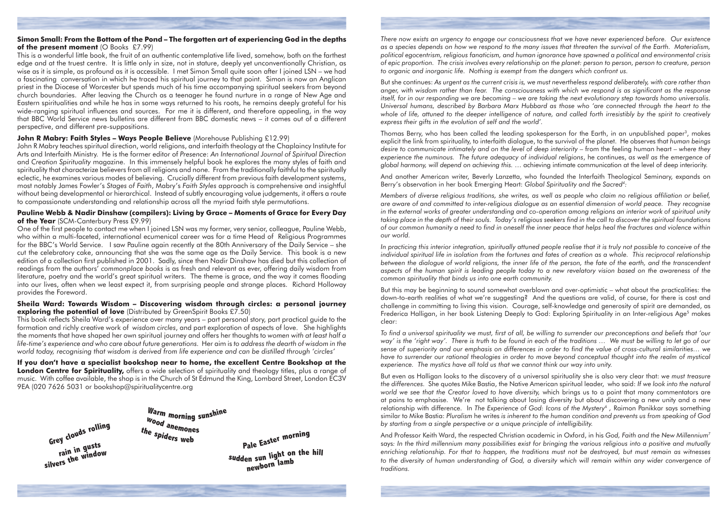*There now exists an urgency to engage our consciousness that we have never experienced before. Our existence as a species depends on how we respond to the many issues that threaten the survival of the Earth. Materialism, political egocentrism, religious fanaticism, and human ignorance have spawned a political and environmental crisis of epic proportion. The crisis involves every relationship on the planet: person to person, person to creature, person to organic and inorganic life. Nothing is exempt from the dangers which confront us.*

But she continues: *As urgent as the current crisis is, we must nevertheless respond deliberately, with care rather than anger, with wisdom rather than fear. The consciousness with which we respond is as significant as the response itself, for in our responding we are becoming – we are taking the next evolutionary step towards homo universalis. Universal humans, described by Barbara Marx Hubbard as those who 'are connected through the heart to the whole of life, attuned to the deeper intelligence of nature, and called forth irresistibly by the spirit to creatively express their gifts in the evolution of self and the world'.* 

Thomas Berry, who has been called the leading spokesperson for the Earth, in an unpublished paper3, makes explicit the link from spirituality, to interfaith dialogue, to the survival of the planet. He observes that *human beings desire to communicate intimately and on the level of deep interiority* – from the feeling human heart – *where they experience the numinous. The future adequacy of individual religions*, he continues, *as well as the emergence of global harmony, will depend on achieving this.* … achieving intimate communication at the level of deep interiority.

And another American writer, Beverly Lanzetta, who founded the Interfaith Theological Seminary, expands on Berry's observation in her book Emerging Heart: *Global Spirituality and the Sacred4:*

*Members of diverse religious traditions, she writes, as well as people who claim no religious affiliation or belief, are aware of and committed to inter-religious dialogue as an essential dimension of world peace. They recognise in the external works of greater understanding and co-operation among religions an interior work of spiritual unity taking place in the depth of their souls. Today's religious seekers find in the call to discover the spiritual foundations of our common humanity a need to find in oneself the inner peace that helps heal the fractures and violence within our world.* 

### **Simon Small: From the Bottom of the Pond – The forgotten art of experiencing God in the depths of the present moment** (O Books £7.99)

*In practicing this interior integration, spiritually attuned people realise that it is truly not possible to conceive of the individual spiritual life in isolation from the fortunes and fates of creation as a whole. This reciprocal relationship between the dialogue of world religions, the inner life of the person, the fate of the earth, and the transcendent aspects of the human spirit is leading people today to a new revelatory vision based on the awareness of the common spirituality that binds us into one earth community.*

But this may be beginning to sound somewhat overblown and over-optimistic – what about the practicalities: the down-to-earth realities of what we're suggesting? And the questions are valid, of course, for there is cost and challenge in committing to living this vision. Courage, self-knowledge and generosity of spirit are demanded, as Frederica Halligan, in her book Listening Deeply to God: Exploring Spirituality in an Inter-religious Age<sup>5</sup> makes clear:

### **Pauline Webb & Nadir Dinshaw (compilers): Living by Grace – Moments of Grace for Every Day of the Year** (SCM-Canterbury Press £9.99)

*To find a universal spirituality we must, first of all, be willing to surrender our preconceptions and beliefs that 'our way' is the 'right way'. There is truth to be found in each of the traditions … We must be willing to let go of our sense of superiority and our emphasis on differences in order to find the value of cross-cultural similarities… we have to surrender our rational theologies in order to move beyond conceptual thought into the realm of mystical experience. The mystics have all told us that we cannot think our way into unity.*

### **Sheila Ward: Towards Wisdom – Discovering wisdom through circles: a personal journey exploring the potential of love** (Distributed by GreenSpirit Books £7.50)

But even as Halligan looks to the discovery of a universal spirituality she is also very clear that: *we must treasure the differences.* She quotes Mike Bastia, the Native American spiritual leader, who said: *If we look into the natural world we see that the Creator loved to have diversity,* which brings us to a point that many commentators are at pains to emphasise. We're not talking about losing diversity but about discovering a new unity and a new relationship with difference. In *The Experience of God: Icons of the Mystery6 ,* Raimon Panikkar says something similar to Mike Bastia: *Pluralism* he writes *is inherent to the human condition and prevents us from speaking of God by starting from a single perspective or a unique principle of intelligibility.* 

And Professor Keith Ward, the respected Christian academic in Oxford, in his *God, Faith and the New Millennium7* says*: In the third millennium many possibilities exist for bringing the various religious into a positive and mutually enriching relationship. For that to happen, the traditions must not be destroyed, but must remain as witnesses*  to the diversity of human understanding of God, a diversity which will remain within any wider convergence of *traditions.*

This is a wonderful little book, the fruit of an authentic contemplative life lived, somehow, both on the farthest edge and at the truest centre. It is little only in size, not in stature, deeply yet unconventionally Christian, as wise as it is simple, as profound as it is accessible. I met Simon Small quite soon after I joined LSN – we had a fascinating conversation in which he traced his spiritual journey to that point. Simon is now an Anglican priest in the Diocese of Worcester but spends much of his time accompanying spiritual seekers from beyond church boundaries. After leaving the Church as a teenager he found nurture in a range of New Age and Eastern spiritualities and while he has in some ways returned to his roots, he remains deeply grateful for his wide-ranging spiritual influences and sources. For me it is different, and therefore appealing, in the way that BBC World Service news bulletins are different from BBC domestic news – it comes out of a different perspective, and different pre-suppositions.

### **John R Mabry: Faith Styles - Ways People Believe** (Morehouse Publishing £12.99)

John R Mabry teaches spiritual direction, world religions, and interfaith theology at the Chaplaincy Institute for Arts and Interfaith Ministry. He is the former editor of *Presence*: *An International Journal of Spiritual Direction*  and *Creation Spirituality* magazine. In this immensely helpful book he explores the many styles of faith and spirituality that characterize believers from all religions and none. From the traditionally faithful to the spiritually eclectic, he examines various modes of believing. Crucially different from previous faith development systems, most notably James Fowler's *Stages of Faith*, Mabry's *Faith Styles* approach is comprehensive and insightful without being developmental or hierarchical. Instead of subtly encouraging value judgements, it offers a route to compassionate understanding and relationship across all the myriad faith style permutations.

One of the first people to contact me when I joined LSN was my former, very senior, colleague, Pauline Webb, who within a multi-faceted, international ecumenical career was for a time Head of Religious Programmes for the BBC's World Service. I saw Pauline again recently at the 80th Anniversary of the Daily Service – she cut the celebratory cake, announcing that she was the same age as the Daily Service. This book is a new edition of a collection first published in 2001. Sadly, since then Nadir Dinshaw has died but this collection of readings from the authors' *commonplace books* is as fresh and relevant as ever, offering daily wisdom from literature, poetry and the world's great spiritual writers. The theme is grace, and the way it comes flooding into our lives, often when we least expect it, from surprising people and strange places. Richard Holloway provides the Foreword.

This book reflects Sheila Ward's experience over many years – part personal story, part practical guide to the formation and richly creative work of *wisdom circles*, and part exploration of aspects of love. She highlights the moments that have shaped her own spiritual journey and offers her thoughts to *women with at least half a life-time's experience and who care about future generations.* Her aim is *to address the dearth of wisdom in the world today, recognising that wisdom is derived from life experience and can be distilled through 'circles'*

**If you don't have a specialist bookshop near to home, the excellent Centre Bookshop at the London Centre for Spirituality,** offers a wide selection of spirituality and theology titles, plus a range of music. With coffee available, the shop is in the Church of St Edmund the King, Lombard Street, London EC3V 9EA (020 7626 5031 or bookshop@spiritualitycentre.org

**<sup>G</sup>re<sup>y</sup> <sup>c</sup>loud<sup>s</sup> <sup>r</sup>ollin<sup>g</sup> <sup>r</sup>ai<sup>n</sup> <sup>i</sup><sup>n</sup> <sup>g</sup><sup>u</sup>st<sup>s</sup> <sup>s</sup>ilver<sup>s</sup> <sup>t</sup>h<sup>e</sup> <sup>w</sup>indo<sup>w</sup>**

**<sup>W</sup><sup>a</sup>r<sup>m</sup> <sup>m</sup>ornin<sup>g</sup> <sup>s</sup>unshin<sup>e</sup> th w e <sup>o</sup>o<sup>d</sup> <sup>a</sup>nemone<sup>s</sup> <sup>s</sup>pider<sup>s</sup> <sup>w</sup>e<sup>b</sup>**

**<sup>P</sup>al<sup>e</sup> <sup>E</sup>aste<sup>r</sup> <sup>m</sup>ornin<sup>g</sup> <sup>s</sup>udde<sup>n</sup> <sup>s</sup>u<sup>n</sup> <sup>l</sup>igh<sup>t</sup> <sup>o</sup><sup>n</sup> <sup>t</sup>h<sup>e</sup> <sup>h</sup>il<sup>l</sup> <sup>n</sup>ewbor<sup>n</sup> <sup>l</sup>am<sup>b</sup>**